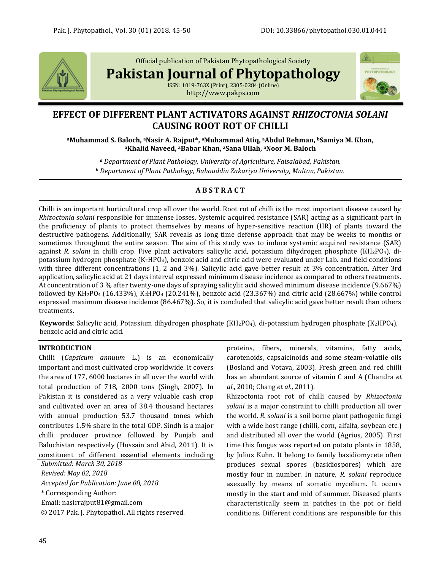

Official publication of Pakistan Phytopathological Society

**Pakistan Journal of Phytopathology**

ISSN: 1019-763X (Print), 2305-0284 (Online) http://www.pakps.com



# **EFFECT OF DIFFERENT PLANT ACTIVATORS AGAINST** *RHIZOCTONIA SOLANI* **CAUSING ROOT ROT OF CHILLI**

**<sup>a</sup>Muhammad S. Baloch, aNasir A. Rajput\*, aMuhammad Atiq, aAbdul Rehman, <sup>b</sup>Samiya M. Khan, <sup>a</sup>Khalid Naveed, aBabar Khan, aSana Ullah, <sup>a</sup>Noor M. Baloch**

*<sup>a</sup> Department of Plant Pathology, University of Agriculture, Faisalabad, Pakistan. <sup>b</sup> Department of Plant Pathology, Bahauddin Zakariya University, Multan, Pakistan.*

# **A B S T R A C T**

Chilli is an important horticultural crop all over the world. Root rot of chilli is the most important disease caused by *Rhizoctonia solani* responsible for immense losses. Systemic acquired resistance (SAR) acting as a significant part in the proficiency of plants to protect themselves by means of hyper-sensitive reaction (HR) of plants toward the destructive pathogens. Additionally, SAR reveals as long time defense approach that may be weeks to months or sometimes throughout the entire season. The aim of this study was to induce systemic acquired resistance (SAR) against *R. solani* in chilli crop. Five plant activators salicylic acid, potassium dihydrogen phosphate (KH2PO4), dipotassium hydrogen phosphate (K2HPO4), benzoic acid and citric acid were evaluated under Lab. and field conditions with three different concentrations (1, 2 and 3%). Salicylic acid gave better result at 3% concentration. After 3rd application, salicylic acid at 21 days interval expressed minimum disease incidence as compared to others treatments. At concentration of 3 % after twenty-one days of spraying salicylic acid showed minimum disease incidence (9.667%) followed by KH2PO<sup>4</sup> (16.433%), K2HPO<sup>4</sup> (20.241%), benzoic acid (23.367%) and citric acid (28.667%) while control expressed maximum disease incidence (86.467%). So, it is concluded that salicylic acid gave better result than others treatments.

**Keywords**: Salicylic acid, Potassium dihydrogen phosphate (KH2PO4), di-potassium hydrogen phosphate (K2HPO4), benzoic acid and citric acid.

# **INTRODUCTION**

Chilli (*Capsicum annuum* L.) is an economically important and most cultivated crop worldwide. It covers the area of 177, 6000 hectares in all over the world with total production of 718, 2000 tons (Singh, 2007). In Pakistan it is considered as a very valuable cash crop and cultivated over an area of 38.4 thousand hectares with annual production 53.7 thousand tones which contributes 1.5% share in the total GDP. Sindh is a major chilli producer province followed by Punjab and Baluchistan respectively (Hussain and Abid, 2011). It is constituent of different essential elements including

*Submitted: March 30, 2018 Revised: May 02, 2018 Accepted for Publication: June 08, 2018* \* Corresponding Author: Email[: nasirrajput81@gmail.com](mailto:nasirrajput81@gmail.com) © 2017 Pak. J. Phytopathol. All rights reserved. proteins, fibers, minerals, vitamins, fatty acids, carotenoids, capsaicinoids and some steam-volatile oils (Bosland and Votava, 2003). Fresh green and red chilli has an abundant source of vitamin C and A (Chandra *et al*., 2010; Chang *et al*., 2011).

Rhizoctonia root rot of chilli caused by *Rhizoctonia solani* is a major constraint to chilli production all over the world. *R. solani* is a soil borne plant pathogenic fungi with a wide host range (chilli, corn, alfalfa, soybean etc.) and distributed all over the world (Agrios, 2005). First time this fungus was reported on potato plants in 1858, by Julius Kuhn. It belong to family basidiomycete often produces sexual spores (basidiospores) which are mostly four in number. In nature, *R. solani* reproduce asexually by means of somatic mycelium. It occurs mostly in the start and mid of summer. Diseased plants characteristically seem in patches in the pot or field conditions. Different conditions are responsible for this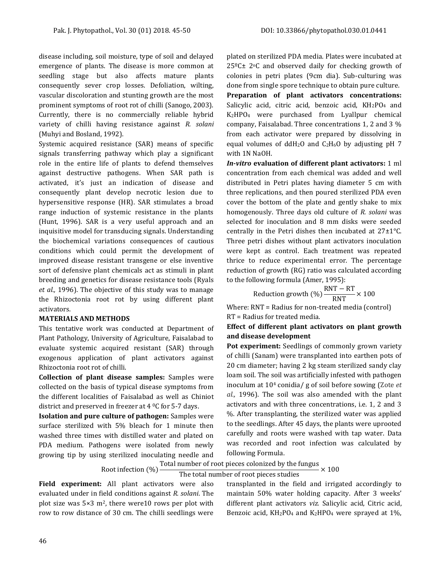disease including, soil moisture, type of soil and delayed emergence of plants. The disease is more common at seedling stage but also affects mature plants consequently sever crop losses. Defoliation, wilting, vascular discoloration and stunting growth are the most prominent symptoms of root rot of chilli (Sanogo, 2003). Currently, there is no commercially reliable hybrid variety of chilli having resistance against *R. solani*  (Muhyi and Bosland, 1992).

Systemic acquired resistance (SAR) means of specific signals transferring pathway which play a significant role in the entire life of plants to defend themselves against destructive pathogens. When SAR path is activated, it's just an indication of disease and consequently plant develop necrotic lesion due to hypersensitive response (HR). SAR stimulates a broad range induction of systemic resistance in the plants (Hunt, 1996). SAR is a very useful approach and an inquisitive model for transducing signals. Understanding the biochemical variations consequences of cautious conditions which could permit the development of improved disease resistant transgene or else inventive sort of defensive plant chemicals act as stimuli in plant breeding and genetics for disease resistance tools (Ryals *et al.,* 1996). The objective of this study was to manage the Rhizoctonia root rot by using different plant activators.

#### **MATERIALS AND METHODS**

This tentative work was conducted at Department of Plant Pathology, University of Agriculture, Faisalabad to evaluate systemic acquired resistant (SAR) through exogenous application of plant activators against Rhizoctonia root rot of chilli.

**Collection of plant disease samples:** Samples were collected on the basis of typical disease symptoms from the different localities of Faisalabad as well as Chiniot district and preserved in freezer at  $4^{\circ}$ C for 5-7 days.

**Isolation and pure culture of pathogen:** Samples were surface sterilized with 5% bleach for 1 minute then washed three times with distilled water and plated on PDA medium. Pathogens were isolated from newly growing tip by using sterilized inoculating needle and

plated on sterilized PDA media. Plates were incubated at  $25^{\circ}$ C $\pm$  2°C and observed daily for checking growth of colonies in petri plates (9cm dia). Sub-culturing was done from single spore technique to obtain pure culture. **Preparation of plant activators concentrations:**  Salicylic acid, citric acid, benzoic acid, KH2PO4 and K2HPO<sup>4</sup> were purchased from Lyallpur chemical company, Faisalabad. Three concentrations 1, 2 and 3 % from each activator were prepared by dissolving in equal volumes of  $ddH_2O$  and  $C_2H_6O$  by adjusting pH 7 with 1N NaOH.

*In-vitro* **evaluation of different plant activators:** 1 ml concentration from each chemical was added and well distributed in Petri plates having diameter 5 cm with three replications, and then poured sterilized PDA even cover the bottom of the plate and gently shake to mix homogenously. Three days old culture of *R. solani* was selected for inoculation and 8 mm disks were seeded centrally in the Petri dishes then incubated at 27±1°C. Three petri dishes without plant activators inoculation were kept as control. Each treatment was repeated thrice to reduce experimental error. The percentage reduction of growth (RG) ratio was calculated according to the following formula (Amer, 1995):

Reduction growth (%) 
$$
\frac{RNT - RT}{RNT} \times 100
$$

Where: RNT = Radius for non-treated media (control) RT = Radius for treated media.

## **Effect of different plant activators on plant growth and disease development**

**Pot experiment:** Seedlings of commonly grown variety of chilli (Sanam) were transplanted into earthen pots of 20 cm diameter; having 2 kg steam sterilized sandy clay loam soil. The soil was artificially infested with pathogen inoculum at 10<sup>4</sup> conidia/ g of soil before sowing (Zote *et al.,* 1996). The soil was also amended with the plant activators and with three concentrations, i.e. 1, 2 and 3 %. After transplanting, the sterilized water was applied to the seedlings. After 45 days, the plants were uprooted carefully and roots were washed with tap water. Data was recorded and root infection was calculated by following Formula.

#### Root infection (%) Total number of root pieces colonized by the fungus  $\times 100$

# The total number of root pieces studies

**Field experiment:** All plant activators were also evaluated under in field conditions against *R. solani*. The plot size was  $5\times3$  m<sup>2</sup>, there were10 rows per plot with row to row distance of 30 cm. The chilli seedlings were transplanted in the field and irrigated accordingly to maintain 50% water holding capacity. After 3 weeks' different plant activators *viz.* Salicylic acid, Citric acid, Benzoic acid,  $KH_2PO_4$  and  $K_2HPO_4$  were sprayed at 1%,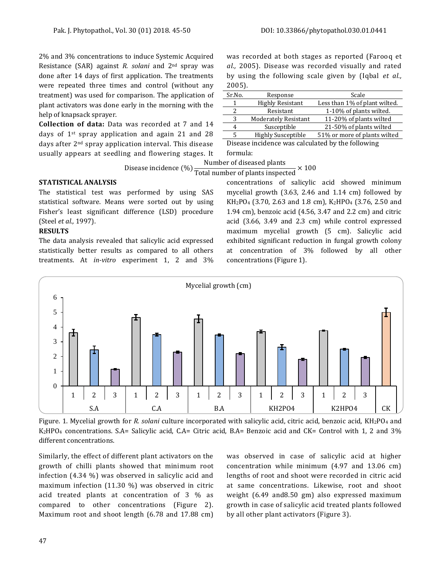2% and 3% concentrations to induce Systemic Acquired Resistance (SAR) against *R. solani* and 2nd spray was done after 14 days of first application. The treatments were repeated three times and control (without any treatment) was used for comparison. The application of plant activators was done early in the morning with the help of knapsack sprayer.

**Collection of data:** Data was recorded at 7 and 14 days of 1st spray application and again 21 and 28 days after 2nd spray application interval. This disease usually appears at seedling and flowering stages. It was recorded at both stages as reported (Farooq et *al.,* 2005). Disease was recorded visually and rated by using the following scale given by (Iqbal *et al.,* 2005).

| Sr.No.                                            | Response                    | Scale                         |
|---------------------------------------------------|-----------------------------|-------------------------------|
| 1                                                 | <b>Highly Resistant</b>     | Less than 1% of plant wilted. |
| 2                                                 | Resistant                   | 1-10% of plants wilted.       |
| 3                                                 | <b>Moderately Resistant</b> | 11-20% of plants wilted       |
| 4                                                 | Susceptible                 | 21-50% of plants wilted       |
| 5                                                 | <b>Highly Susceptible</b>   | 51% or more of plants wilted  |
| Disease incidence was calculated by the following |                             |                               |

se incidence was calculated by the following formula:

Disease incidence (%) Total number of plants inspected  $\times$  100 Number of diseased plants

# **STATISTICAL ANALYSIS**

The statistical test was performed by using SAS statistical software. Means were sorted out by using Fisher's least significant difference (LSD) procedure (Steel *et al.,* 1997).

#### **RESULTS**

The data analysis revealed that salicylic acid expressed statistically better results as compared to all others treatments. At *in-vitro* experiment 1, 2 and 3% concentrations of salicylic acid showed minimum mycelial growth (3.63, 2.46 and 1.14 cm) followed by KH2PO<sup>4</sup> (3.70, 2.63 and 1.8 cm), K2HPO<sup>4</sup> (3.76, 2.50 and 1.94 cm), benzoic acid (4.56, 3.47 and 2.2 cm) and citric acid (3.66, 3.49 and 2.3 cm) while control expressed maximum mycelial growth (5 cm). Salicylic acid exhibited significant reduction in fungal growth colony at concentration of 3% followed by all other concentrations (Figure 1).



Figure. 1. Mycelial growth for *R. solani* culture incorporated with salicylic acid, citric acid, benzoic acid, KH2PO<sup>4</sup> and K2HPO<sup>4</sup> concentrations. S.A= Salicylic acid, C.A= Citric acid, B.A= Benzoic acid and CK= Control with 1, 2 and 3% different concentrations.

Similarly, the effect of different plant activators on the growth of chilli plants showed that minimum root infection (4.34 %) was observed in salicylic acid and maximum infection (11.30 %) was observed in citric acid treated plants at concentration of 3 % as compared to other concentrations (Figure 2). Maximum root and shoot length (6.78 and 17.88 cm) was observed in case of salicylic acid at higher concentration while minimum (4.97 and 13.06 cm) lengths of root and shoot were recorded in citric acid at same concentrations. Likewise, root and shoot weight (6.49 and8.50 gm) also expressed maximum growth in case of salicylic acid treated plants followed by all other plant activators (Figure 3).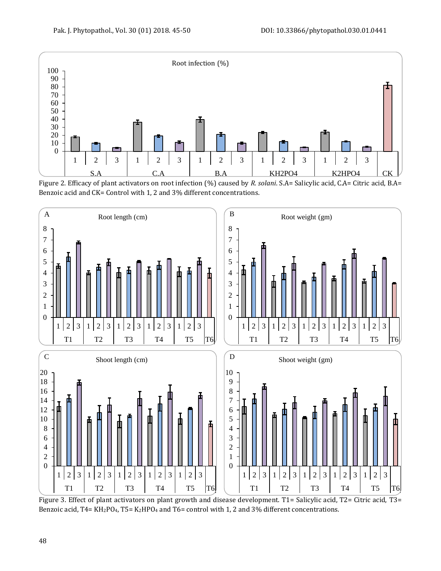

Figure 2. Efficacy of plant activators on root infection (%) caused by *R. solani*. S.A= Salicylic acid, C.A= Citric acid, B.A= Benzoic acid and CK= Control with 1, 2 and 3% different concentrations.



Figure 3. Effect of plant activators on plant growth and disease development. T1= Salicylic acid, T2= Citric acid, T3= Benzoic acid, T4= KH<sub>2</sub>PO<sub>4</sub>, T5= K<sub>2</sub>HPO<sub>4</sub> and T6= control with 1, 2 and 3% different concentrations.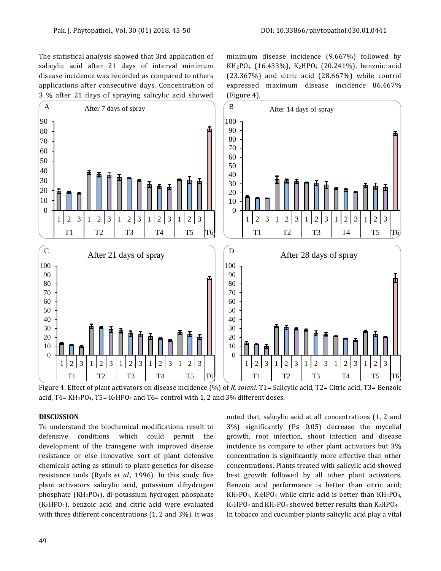The statistical analysis showed that 3rd application of salicylic acid after 21 days of interval minimum disease incidence was recorded as compared to others applications after consecutive days. Concentration of 3 % after 21 days of spraying salicylic acid showed minimum disease incidence (9.667%) followed by KH2PO<sup>4</sup> (16.433%), K2HPO<sup>4</sup> (20.241%), benzoic acid (23.367%) and citric acid (28.667%) while control expressed maximum disease incidence 86.467% (Figure 4).



Figure 4. Effect of plant activators on disease incidence (%) of *R. solani.* T1= Salicylic acid, T2= Citric acid, T3= Benzoic acid,  $T4 = KH<sub>2</sub>PQ<sub>4</sub>$ ,  $T5 = K<sub>2</sub>HPQ<sub>4</sub>$  and  $T6 =$  control with 1, 2 and 3% different doses.

#### **DISCUSSION**

To understand the biochemical modifications result to defensive conditions which could permit the development of the transgene with improved disease resistance or else innovative sort of plant defensive chemicals acting as stimuli to plant genetics for disease resistance tools (Ryals *et al.,* 1996). In this study five plant activators salicylic acid, potassium dihydrogen phosphate (KH2PO4), di-potassium hydrogen phosphate (K2HPO4), benzoic acid and citric acid were evaluated with three different concentrations (1, 2 and 3%). It was

noted that, salicylic acid at all concentrations (1, 2 and 3%) significantly (P≤ 0.05) decrease the mycelial growth, root infection, shoot infection and disease incidence as compare to other plant activators but 3% concentration is significantly more effective than other concentrations. Plants treated with salicylic acid showed best growth followed by all other plant activators. Benzoic acid performance is better than citric acid;  $KH_2PO_4$ ,  $K_2HPO_4$  while citric acid is better than  $KH_2PO_4$ ,  $K_2HPO_4$  and  $KH_2PO_4$  showed better results than  $K_2HPO_4$ . In tobacco and cucumber plants salicylic acid play a vital